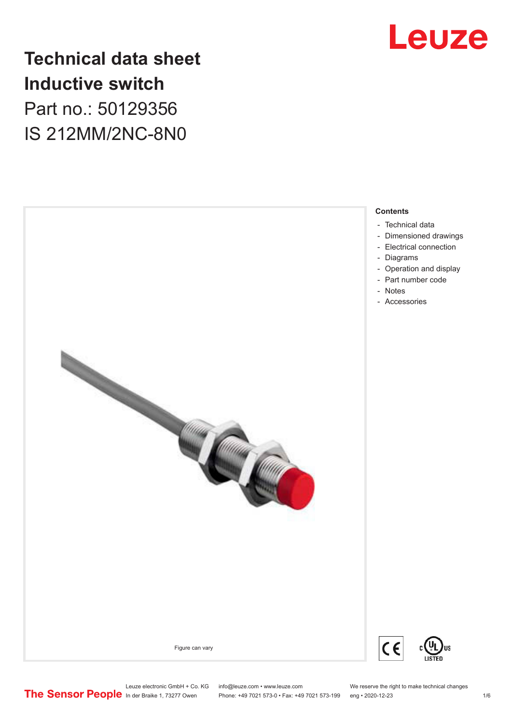

# **Technical data sheet Inductive switch** Part no.: 50129356 IS 212MM/2NC-8N0



Phone: +49 7021 573-0 • Fax: +49 7021 573-199 eng • 2020-12-23 1 76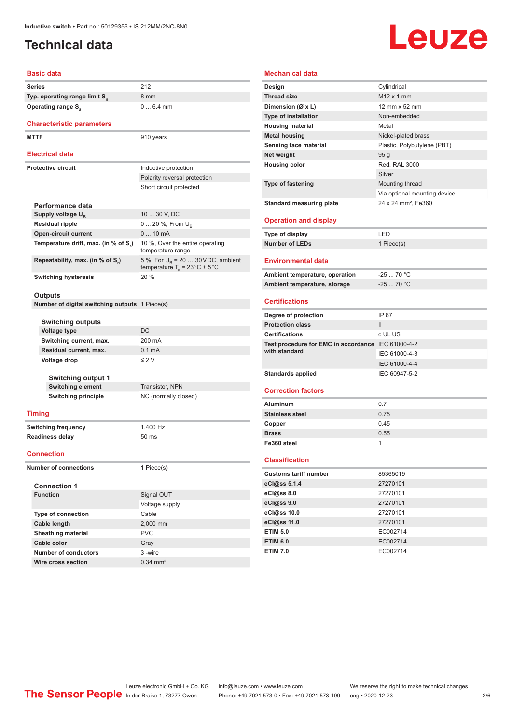## <span id="page-1-0"></span>**Technical data**

# **Leuze**

#### **Basic data**

| Pasiv uata                                |                                                       |                                                                                          |  |
|-------------------------------------------|-------------------------------------------------------|------------------------------------------------------------------------------------------|--|
|                                           | Series                                                | 212                                                                                      |  |
| Typ. operating range limit S <sub>n</sub> |                                                       | 8 mm                                                                                     |  |
|                                           | <b>Operating range S</b> <sub>a</sub>                 | $06.4$ mm                                                                                |  |
|                                           |                                                       |                                                                                          |  |
|                                           | <b>Characteristic parameters</b>                      |                                                                                          |  |
|                                           | <b>MTTF</b>                                           | 910 years                                                                                |  |
|                                           |                                                       |                                                                                          |  |
|                                           | <b>Electrical data</b>                                |                                                                                          |  |
|                                           | <b>Protective circuit</b>                             | Inductive protection                                                                     |  |
|                                           |                                                       | Polarity reversal protection                                                             |  |
|                                           |                                                       | Short circuit protected                                                                  |  |
|                                           |                                                       |                                                                                          |  |
|                                           | Performance data                                      |                                                                                          |  |
|                                           | Supply voltage U <sub>B</sub>                         | 10  30 V, DC                                                                             |  |
|                                           | <b>Residual ripple</b>                                | 0  20 %, From $U_{\rm B}$                                                                |  |
|                                           | <b>Open-circuit current</b>                           | $010$ mA                                                                                 |  |
|                                           | Temperature drift, max. (in % of S.)                  | 10 %, Over the entire operating<br>temperature range                                     |  |
|                                           | Repeatability, max. (in % of S,)                      | 5 %, For $U_R$ = 20  30 VDC, ambient<br>temperature $T_a = 23 \degree C \pm 5 \degree C$ |  |
|                                           | <b>Switching hysteresis</b>                           | 20%                                                                                      |  |
|                                           |                                                       |                                                                                          |  |
|                                           | Outputs                                               |                                                                                          |  |
|                                           | <b>Number of digital switching outputs</b> 1 Piece(s) |                                                                                          |  |
|                                           |                                                       |                                                                                          |  |
|                                           | Switching outputs                                     |                                                                                          |  |
|                                           | <b>Voltage type</b>                                   | DC                                                                                       |  |
|                                           | Switching current, max.                               | 200 mA                                                                                   |  |
|                                           | Residual current, max.                                | 0.1 <sub>m</sub> A                                                                       |  |
|                                           | Voltage drop                                          | $\leq$ 2 V                                                                               |  |
|                                           | Switching output 1                                    |                                                                                          |  |
|                                           | <b>Switching element</b>                              | Transistor, NPN                                                                          |  |
|                                           | <b>Switching principle</b>                            | NC (normally closed)                                                                     |  |
|                                           |                                                       |                                                                                          |  |
|                                           | Timing                                                |                                                                                          |  |
|                                           | <b>Switching frequency</b>                            | 1,400 Hz                                                                                 |  |
|                                           | <b>Readiness delay</b>                                | 50 ms                                                                                    |  |
|                                           |                                                       |                                                                                          |  |
|                                           | <b>Connection</b>                                     |                                                                                          |  |
| <b>Number of connections</b>              |                                                       | 1 Piece(s)                                                                               |  |
|                                           |                                                       |                                                                                          |  |
|                                           | <b>Connection 1</b>                                   |                                                                                          |  |
|                                           | <b>Function</b>                                       | Signal OUT                                                                               |  |
|                                           |                                                       | Voltage supply                                                                           |  |
|                                           | <b>Type of connection</b>                             | Cable                                                                                    |  |
|                                           | <b>Cable length</b>                                   | 2,000 mm                                                                                 |  |
|                                           | Sheathing material                                    | <b>PVC</b>                                                                               |  |
|                                           | Cable color                                           | Gray                                                                                     |  |
|                                           | <b>Number of conductors</b>                           | 3-wire                                                                                   |  |

| <b>Mechanical data</b>                             |                                 |  |  |
|----------------------------------------------------|---------------------------------|--|--|
| Design                                             | Cylindrical                     |  |  |
| <b>Thread size</b>                                 | $M12 \times 1$ mm               |  |  |
| Dimension (Ø x L)                                  | 12 mm x 52 mm                   |  |  |
| <b>Type of installation</b>                        | Non-embedded                    |  |  |
| <b>Housing material</b>                            | Metal                           |  |  |
| <b>Metal housing</b>                               | Nickel-plated brass             |  |  |
| Sensing face material                              | Plastic, Polybutylene (PBT)     |  |  |
| Net weight                                         | 95 <sub>g</sub>                 |  |  |
| <b>Housing color</b>                               | Red, RAL 3000                   |  |  |
|                                                    | Silver                          |  |  |
| Type of fastening                                  | Mounting thread                 |  |  |
|                                                    | Via optional mounting device    |  |  |
| <b>Standard measuring plate</b>                    | 24 x 24 mm <sup>2</sup> , Fe360 |  |  |
|                                                    |                                 |  |  |
| <b>Operation and display</b>                       |                                 |  |  |
| <b>Type of display</b>                             | LED                             |  |  |
| <b>Number of LEDs</b>                              | 1 Piece(s)                      |  |  |
|                                                    |                                 |  |  |
| <b>Environmental data</b>                          |                                 |  |  |
| Ambient temperature, operation                     | $-2570 °C$                      |  |  |
| Ambient temperature, storage                       | $-25$ 70 °C                     |  |  |
|                                                    |                                 |  |  |
| <b>Certifications</b>                              |                                 |  |  |
|                                                    |                                 |  |  |
| Degree of protection                               | IP 67                           |  |  |
| <b>Protection class</b>                            | $\mathbf{II}$                   |  |  |
| <b>Certifications</b>                              | c UL US                         |  |  |
| Test procedure for EMC in accordance IEC 61000-4-2 |                                 |  |  |
| with standard                                      | IEC 61000-4-3                   |  |  |
|                                                    | IEC 61000-4-4                   |  |  |
| <b>Standards applied</b>                           | IEC 60947-5-2                   |  |  |
|                                                    |                                 |  |  |
| <b>Correction factors</b>                          |                                 |  |  |
| Aluminum                                           | 0.7                             |  |  |
| <b>Stainless steel</b>                             | 0.75                            |  |  |
| Copper                                             | 0.45                            |  |  |
| <b>Brass</b>                                       | 0.55                            |  |  |
| Fe360 steel                                        | 1                               |  |  |
|                                                    |                                 |  |  |
| <b>Classification</b>                              |                                 |  |  |
| <b>Customs tariff number</b>                       | 85365019                        |  |  |
| eCl@ss 5.1.4                                       | 27270101                        |  |  |
| eCl@ss 8.0                                         | 27270101                        |  |  |
| eCl@ss 9.0                                         | 27270101                        |  |  |
| eCl@ss 10.0                                        | 27270101                        |  |  |
| eCl@ss 11.0                                        | 27270101                        |  |  |
| <b>ETIM 5.0</b><br><b>ETIM 6.0</b>                 | EC002714<br>EC002714            |  |  |

**ETIM 7.0** EC002714

**Wire cross section** 0.34 mm<sup>2</sup>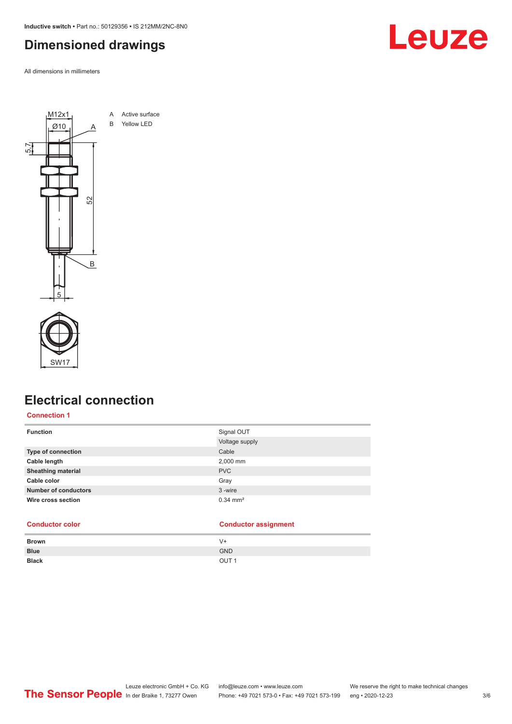<span id="page-2-0"></span>**Inductive switch •** Part no.: 50129356 **•** IS 212MM/2NC-8N0

### **Dimensioned drawings**

All dimensions in millimeters





### **Electrical connection**

#### **Connection 1**

| <b>Function</b>             | Signal OUT            |
|-----------------------------|-----------------------|
|                             | Voltage supply        |
| <b>Type of connection</b>   | Cable                 |
| Cable length                | 2,000 mm              |
| <b>Sheathing material</b>   | <b>PVC</b>            |
| Cable color                 | Gray                  |
| <b>Number of conductors</b> | 3-wire                |
| Wire cross section          | $0.34 \, \text{mm}^2$ |

|              | $\sim$           |
|--------------|------------------|
| <b>Brown</b> | $V +$            |
| <b>Blue</b>  | <b>GND</b>       |
| <b>Black</b> | OUT <sub>1</sub> |
|              |                  |

**Conductor color Conductor assignment**

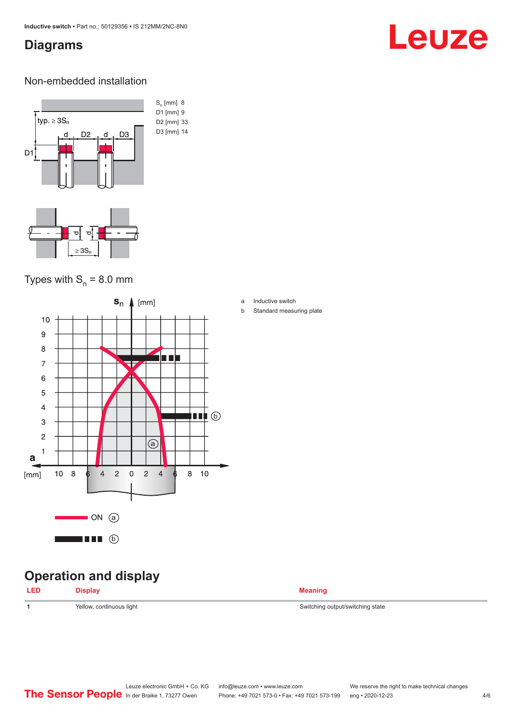### <span id="page-3-0"></span>**Diagrams**

# Leuze

#### Non-embedded installation



### Types with  $S_n = 8.0$  mm



## **Operation and display**

| <b>Meaning</b> |
|----------------|
|                |

1 Yellow, continuous light Switching output/switching state

#### a Inductive switch

b Standard measuring plate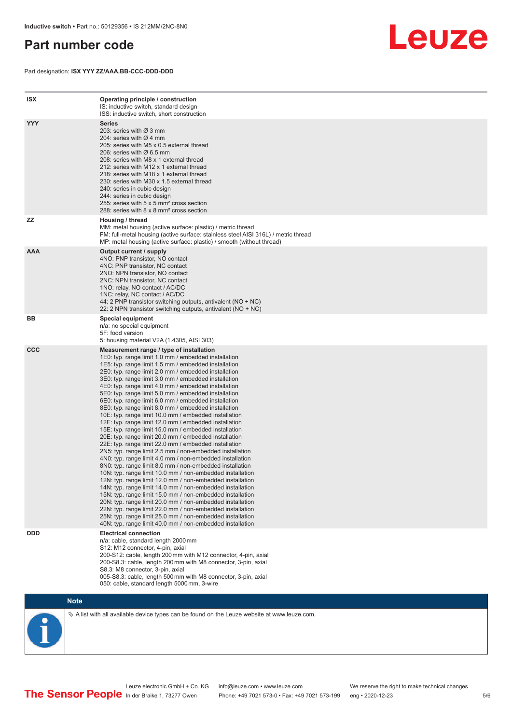### <span id="page-4-0"></span>**Part number code**

Part designation: **ISX YYY ZZ/AAA.BB-CCC-DDD-DDD**



| <b>ISX</b> | Operating principle / construction<br>IS: inductive switch, standard design<br>ISS: inductive switch, short construction                                                                                                                                                                                                                                                                                                                                                                                                                                                                                                                                                                                                                                                                                                                                                                                                                                                                                                                                                                                                                                                                                                                                                                                                                                                                                                                                                                          |
|------------|---------------------------------------------------------------------------------------------------------------------------------------------------------------------------------------------------------------------------------------------------------------------------------------------------------------------------------------------------------------------------------------------------------------------------------------------------------------------------------------------------------------------------------------------------------------------------------------------------------------------------------------------------------------------------------------------------------------------------------------------------------------------------------------------------------------------------------------------------------------------------------------------------------------------------------------------------------------------------------------------------------------------------------------------------------------------------------------------------------------------------------------------------------------------------------------------------------------------------------------------------------------------------------------------------------------------------------------------------------------------------------------------------------------------------------------------------------------------------------------------------|
| <b>YYY</b> | Series<br>203: series with Ø 3 mm<br>204: series with $\varnothing$ 4 mm<br>205: series with M5 x 0.5 external thread<br>206: series with $\varnothing$ 6.5 mm<br>208: series with M8 x 1 external thread<br>212: series with M12 x 1 external thread<br>218: series with M18 x 1 external thread<br>230: series with M30 x 1.5 external thread<br>240: series in cubic design<br>244: series in cubic design<br>255: series with 5 x 5 mm <sup>2</sup> cross section<br>288: series with 8 x 8 mm <sup>2</sup> cross section                                                                                                                                                                                                                                                                                                                                                                                                                                                                                                                                                                                                                                                                                                                                                                                                                                                                                                                                                                     |
| ZZ         | Housing / thread<br>MM: metal housing (active surface: plastic) / metric thread<br>FM: full-metal housing (active surface: stainless steel AISI 316L) / metric thread<br>MP: metal housing (active surface: plastic) / smooth (without thread)                                                                                                                                                                                                                                                                                                                                                                                                                                                                                                                                                                                                                                                                                                                                                                                                                                                                                                                                                                                                                                                                                                                                                                                                                                                    |
| <b>AAA</b> | Output current / supply<br>4NO: PNP transistor, NO contact<br>4NC: PNP transistor, NC contact<br>2NO: NPN transistor, NO contact<br>2NC: NPN transistor, NC contact<br>1NO: relay, NO contact / AC/DC<br>1NC: relay, NC contact / AC/DC<br>44: 2 PNP transistor switching outputs, antivalent ( $NO + NC$ )<br>22: 2 NPN transistor switching outputs, antivalent (NO + NC)                                                                                                                                                                                                                                                                                                                                                                                                                                                                                                                                                                                                                                                                                                                                                                                                                                                                                                                                                                                                                                                                                                                       |
| BB         | <b>Special equipment</b><br>n/a: no special equipment<br>5F: food version<br>5: housing material V2A (1.4305, AISI 303)                                                                                                                                                                                                                                                                                                                                                                                                                                                                                                                                                                                                                                                                                                                                                                                                                                                                                                                                                                                                                                                                                                                                                                                                                                                                                                                                                                           |
| <b>CCC</b> | Measurement range / type of installation<br>1E0: typ. range limit 1.0 mm / embedded installation<br>1E5: typ. range limit 1.5 mm / embedded installation<br>2E0: typ. range limit 2.0 mm / embedded installation<br>3E0: typ. range limit 3.0 mm / embedded installation<br>4E0: typ. range limit 4.0 mm / embedded installation<br>5E0: typ. range limit 5.0 mm / embedded installation<br>6E0: typ. range limit 6.0 mm / embedded installation<br>8E0: typ. range limit 8.0 mm / embedded installation<br>10E: typ. range limit 10.0 mm / embedded installation<br>12E: typ. range limit 12.0 mm / embedded installation<br>15E: typ. range limit 15.0 mm / embedded installation<br>20E: typ. range limit 20.0 mm / embedded installation<br>22E: typ. range limit 22.0 mm / embedded installation<br>2N5: typ. range limit 2.5 mm / non-embedded installation<br>4N0: typ. range limit 4.0 mm / non-embedded installation<br>8N0: typ. range limit 8.0 mm / non-embedded installation<br>10N: typ. range limit 10.0 mm / non-embedded installation<br>12N: typ. range limit 12.0 mm / non-embedded installation<br>14N: typ. range limit 14.0 mm / non-embedded installation<br>15N: typ. range limit 15.0 mm / non-embedded installation<br>20N: typ. range limit 20.0 mm / non-embedded installation<br>22N: typ. range limit 22.0 mm / non-embedded installation<br>25N: typ. range limit 25.0 mm / non-embedded installation<br>40N: typ. range limit 40.0 mm / non-embedded installation |
| <b>DDD</b> | <b>Electrical connection</b><br>n/a: cable, standard length 2000 mm<br>S12: M12 connector, 4-pin, axial<br>200-S12: cable, length 200 mm with M12 connector, 4-pin, axial<br>200-S8.3: cable, length 200 mm with M8 connector, 3-pin, axial<br>S8.3: M8 connector, 3-pin, axial<br>005-S8.3: cable, length 500 mm with M8 connector, 3-pin, axial<br>050: cable, standard length 5000 mm, 3-wire                                                                                                                                                                                                                                                                                                                                                                                                                                                                                                                                                                                                                                                                                                                                                                                                                                                                                                                                                                                                                                                                                                  |

**Note**

 $\%$  A list with all available device types can be found on the Leuze website at www.leuze.com.

Leuze electronic GmbH + Co. KG info@leuze.com • www.leuze.com We reserve the right to make technical changes In der Braike 1, 73277 Owen Phone: +49 7021 573-0 • Fax: +49 7021 573-199 eng • 2020-12-23